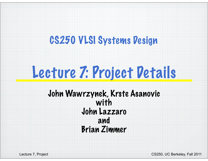### CS250 VLSI Systems Design

# Lecture 7: Project Details

John Wawrzynek, Krste Asanovic with John Lazzaro and Brian Zimmer

Lecture 7, Project **CS250, UC Berkeley, Fall 2011**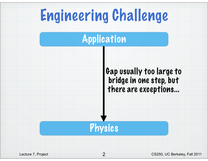# Engineering Challenge

### Application

#### Gap usually too large to bridge in one step, but there are exceptions...



Lecture 7, Project **CS250**, UC Berkeley, Fall 2011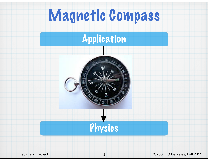# Magnetic Compass

#### Application





Lecture 7, Project **CS250**, UC Berkeley, Fall 2011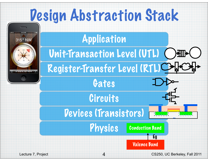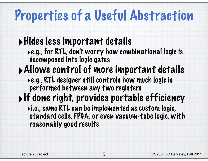## Properties of a Useful Abstraction

### ‣Hides less important details

- ‣e.g., for RTL, don't worry how combinational logic is decomposed into logic gates
- ‣Allows control of more important details
	- ‣e.g., RTL designer still controls how much logic is performed between any two registers
- ‣If done right, provides portable efficiency
	- ‣i.e., same RTL can be implemented as custom logic, standard cells, FPGA, or even vacuum-tube logic, with reasonably good results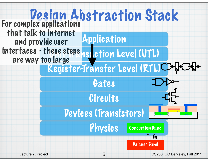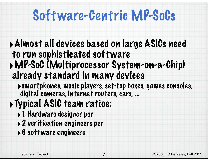## Software-Centric MP-SoCs

#### ‣Almost all devices based on large ASICs need to run sophisticated software ‣MP-SoC (Multiprocessor System-on-a-Chip) already standard in many devices

‣smartphones, music players, set-top boxes, games consoles, digital cameras, internet routers, cars, ...

### ‣Typical ASIC team ratios:

- ‣1 Hardware designer per
- ‣2 verification engineers per
- ‣6 software engineers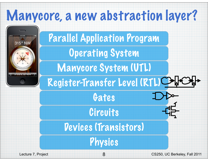### Manycore, a new abstraction layer?

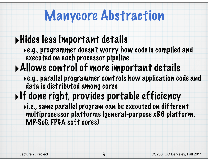### Manycore Abstraction

#### ‣Hides less important details

‣e.g., programmer doesn't worry how code is compiled and executed on each processor pipeline

### ‣Allows control of more important details

‣e.g., parallel programmer controls how application code and data is distributed among cores

### $\triangleright$ If done right, provides portable efficiency

‣i.e., same parallel program can be executed on different multiprocessor platforms (general-purpose x86 platform, MP-SoC, FPGA soft cores)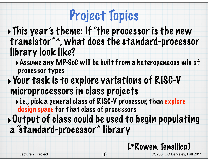## Project Topics

‣This year's theme: If "the processor is the new transistor"\*, what does the standard-processor library look like?

‣Assume any MP-SoC will be built from a heterogeneous mix of processor types

#### ‣Your task is to explore variations of RISC-V microprocessors in class projects

‣i.e., pick a general class of RISC-V processor, then explore design space for that class of processors

‣Output of class could be used to begin populating a "standard-processor" library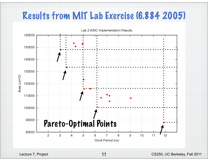#### Results from MIT Lab Exercise (6.884 2005)

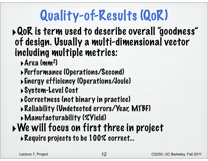# Quality-of-Results (QoR)

‣QoR is term used to describe overall "goodness" of design. Usually a multi-dimensional vector including multiple metrics:

- ‣Area (mm2)
- ‣Performance (Operations/Second)
- ‣Energy efficiency (Operations/Joule)
- ‣System-Level Cost
- ‣Correctness (not binary in practice)
- ‣Reliability (Undetected errors/Year, MTBF)
- ‣Manufacturability (%Yield)
- ‣We will focus on first three in project ‣Require projects to be 100% correct...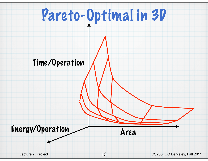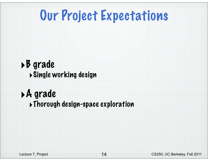### Our Project Expectations

#### ‣B grade ‣Single working design

#### ‣A grade ‣Thorough design-space exploration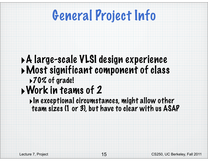## General Project Info

#### ‣A large-scale VLSI design experience ‣Most significant component of class ▶70% of grade!

### ‣Work in teams of 2

 $\blacktriangleright$ In exceptional circumstances, might allow other team sizes (1 or 3), but have to clear with us ASAP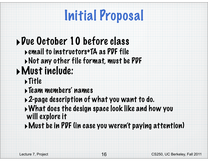# Initial Proposal

### ‣Due October 10 before class

- ‣email to instructors+TA as PDF file
- ‣Not any other file format, must be PDF

### ‣Must include:

- ‣Title
- ‣Team members' names
- ‣2-page description of what you want to do.
- ‣What does the design space look like and how you will explore it
- ‣Must be in PDF (in case you weren't paying attention)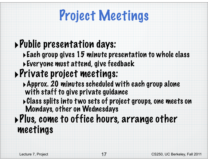## Project Meetings

### ‣Public presentation days:

‣Each group gives 15 minute presentation to whole class ‣Everyone must attend, give feedback

### ‣Private project meetings:

- ‣Approx. 20 minutes scheduled with each group alone with staff to give private guidance
- ‣Class splits into two sets of project groups, one meets on Mondays, other on Wednesdays

#### ‣Plus, come to office hours, arrange other meetings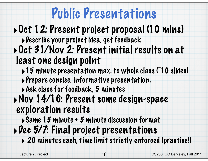## Public Presentations

#### ‣Oct 12: Present project proposal (10 mins) ‣Describe your project idea, get feedback ‣Oct 31/Nov 2: Present initial results on at least one design point

- ‣15 minute presentation max. to whole class (~10 slides)
- ‣Prepare concise, informative presentation.
- ‣Ask class for feedback, 5 minutes
- ‣Nov 14/16: Present some design-space exploration results
	- ‣Same 15 minute + 5 minute discussion format
- $\rightarrow$  Dec 5/7: Final project presentations
	- ‣ 20 minutes each, time limit strictly enforced (practice!)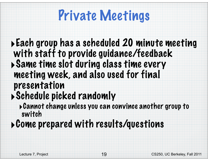## Private Meetings

#### ‣Each group has a scheduled 20 minute meeting with staff to provide guidance/feedback ‣Same time slot during class time every meeting week, and also used for final presentation ‣Schedule picked randomly

‣Cannot change unless you can convince another group to switch

#### ‣Come prepared with results/questions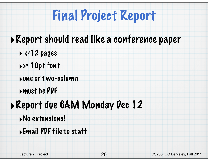# Final Project Report

#### ‣Report should read like a conference paper

- $\rightarrow$  <=12 pages
- $\rightarrow$  = 10pt font
- ‣one or two-column
- ‣must be PDF

### ‣Report due 6AM Monday Dec 12

- ‣No extensions!
- ‣Email PDF file to staff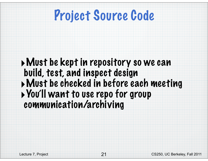### Project Source Code

‣Must be kept in repository so we can build, test, and inspect design ‣Must be checked in before each meeting ‣You'll want to use repo for group communication/archiving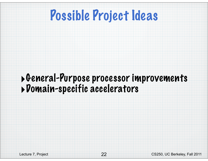### Possible Project Ideas

#### ‣General-Purpose processor improvements ‣Domain-specific accelerators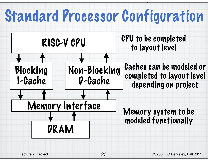# Standard Processor Configuration

layout level

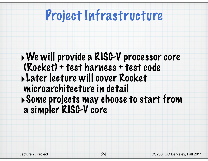### Project Infrastructure

#### ‣We will provide a RISC-V processor core (Rocket) + test harness + test code ‣Later lecture will cover Rocket microarchitecture in detail ‣Some projects may choose to start from a simpler RISC-V core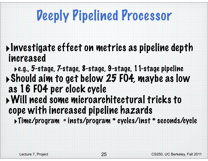### Deeply Pipelined Processor

- ‣Investigate effect on metrics as pipeline depth increased
- ‣e.g., 5-stage, 7-stage, 8-stage, 9-stage, 11-stage pipeline ‣Should aim to get below 25 FO4, maybe as low as 16 FO4 per clock cycle ‣Will need some microarchitectural tricks to cope with increased pipeline hazards
	- ‣Time/program = insts/program \* cycles/inst \* seconds/cycle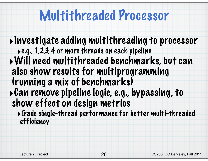### Multithreaded Processor

‣Investigate adding multithreading to processor ‣e.g., 1,2,3, 4 or more threads on each pipeline ‣Will need multithreaded benchmarks, but can also show results for multiprogramming (running a mix of benchmarks) ‣Can remove pipeline logic, e.g., bypassing, to show effect on design metrics ‣Trade single-thread performance for better multi-threaded

efficiency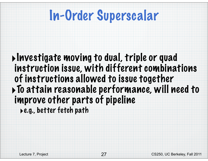### In-Order Superscalar

‣Investigate moving to dual, triple or quad instruction issue, with different combinations of instructions allowed to issue together ‣To attain reasonable performance, will need to improve other parts of pipeline

‣e.g., better fetch path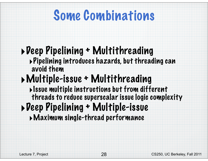### Some Combinations

### ‣Deep Pipelining + Multithreading

‣Pipelining introduces hazards, but threading can avoid them

### ‣Multiple-issue + Multithreading

- ‣Issue multiple instructions but from different threads to reduce superscalar issue logic complexity
- ‣Deep Pipelining + Multiple-issue
	- ‣Maximum single-thread performance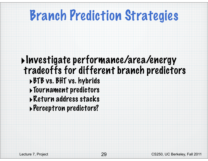### Branch Prediction Strategies

#### ‣Investigate performance/area/energy tradeoffs for different branch predictors ‣BTB vs. BHT vs. hybrids ‣Tournament predictors ‣Return address stacks ‣Perceptron predictors?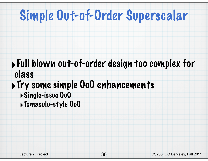## Simple Out-of-Order Superscalar

#### ‣Full blown out-of-order design too complex for class ‣Try some simple OoO enhancements ‣Single-issue OoO ‣Tomasulo-style OoO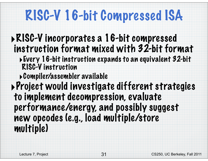## RISC-V 16-bit Compressed ISA

#### ‣RISC-V incorporates a 16-bit compressed instruction format mixed with 32-bit format

- ‣Every 16-bit instruction expands to an equivalent 32-bit RISC-V instruction
- ‣Compiler/assembler available

‣Project would investigate different strategies to implement decompression, evaluate performance/energy, and possibly suggest new opcodes (e.g., load multiple/store multiple)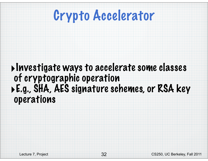

#### ‣Investigate ways to accelerate some classes of cryptographic operation ‣E.g., SHA, AES signature schemes, or RSA key operations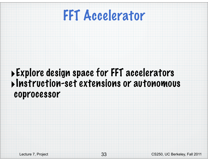

#### ‣Explore design space for FFT accelerators ‣Instruction-set extensions or autonomous coprocessor